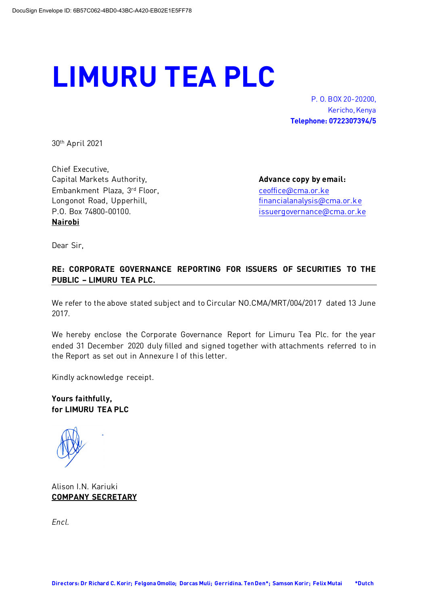## **LIMURU TEA PLC**

P. O. BOX 20-20200, Kericho, Kenya **Telephone: 0722307394/5**

30th April 2021

Chief Executive, Capital Markets Authority, **Advance copy by email: Advance copy by email: Advance copy by email:** Embankment Plaza, 3rd Floor, entitled and the [ceoffice@cma.or.ke](mailto:ceoffice@cma.or.ke) Longonot Road, Upperhill, entitled and the [financialanalysis@cma.or.ke](mailto:financialanalysis@cma.or.ke) P.O. Box 74800-00100. https://www.fileson.org/coma.org/coma.org/ **Nairobi**

Dear Sir,

## **RE: CORPORATE GOVERNANCE REPORTING FOR ISSUERS OF SECURITIES TO THE PUBLIC – LIMURU TEA PLC.**

We refer to the above stated subject and to Circular NO.CMA/MRT/004/2017 dated 13 June 2017.

We hereby enclose the Corporate Governance Report for Limuru Tea Plc. for the year ended 31 December 2020 duly filled and signed together with attachments referred to in the Report as set out in Annexure I of this letter.

Kindly acknowledge receipt.

**Yours faithfully, for LIMURU TEA PLC**

Alison I.N. Kariuki **COMPANY SECRETARY**

*Encl.*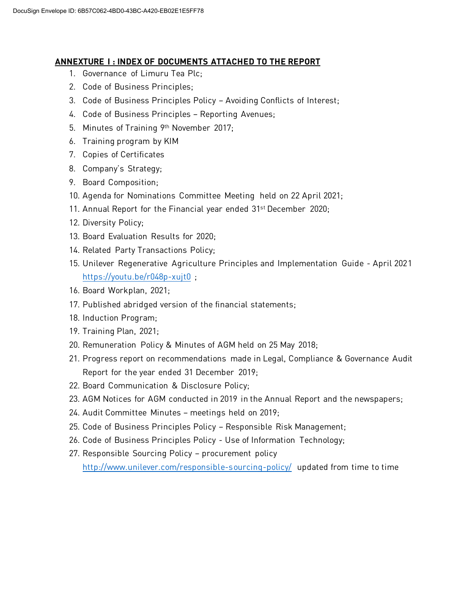## **ANNEXTURE I : INDEX OF DOCUMENTS ATTACHED TO THE REPORT**

- 1. Governance of Limuru Tea Plc;
- 2. Code of Business Principles;
- 3. Code of Business Principles Policy Avoiding Conflicts of Interest;
- 4. Code of Business Principles Reporting Avenues;
- 5. Minutes of Training 9th November 2017;
- 6. Training program by KIM
- 7. Copies of Certificates
- 8. Company's Strategy;
- 9. Board Composition;
- 10. Agenda for Nominations Committee Meeting held on 22 April 2021;
- 11. Annual Report for the Financial year ended 31st December 2020;
- 12. Diversity Policy;
- 13. Board Evaluation Results for 2020;
- 14. Related Party Transactions Policy;
- 15. Unilever Regenerative Agriculture Principles and Implementation Guide April 2021 <https://youtu.be/r048p-xujt0>;
- 16. Board Workplan, 2021;
- 17. Published abridged version of the financial statements;
- 18. Induction Program;
- 19. Training Plan, 2021;
- 20. Remuneration Policy & Minutes of AGM held on 25 May 2018;
- 21. Progress report on recommendations made in Legal, Compliance & Governance Audit Report for the year ended 31 December 2019;
- 22. Board Communication & Disclosure Policy;
- 23. AGM Notices for AGM conducted in 2019 in the Annual Report and the newspapers;
- 24. Audit Committee Minutes meetings held on 2019;
- 25. Code of Business Principles Policy Responsible Risk Management;
- 26. Code of Business Principles Policy Use of Information Technology;
- 27. Responsible Sourcing Policy procurement policy <http://www.unilever.com/responsible-sourcing-policy/> updated from time to time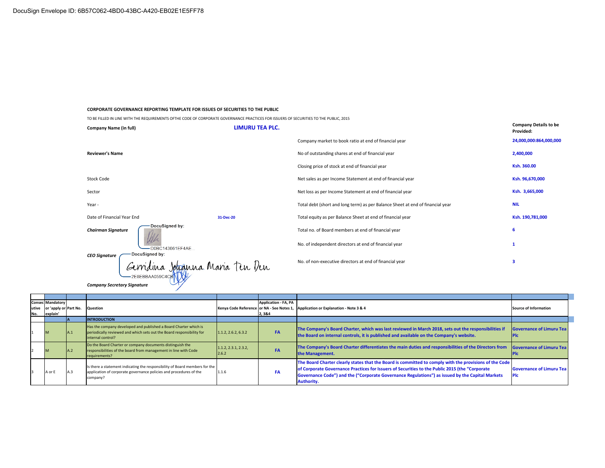*Company Secretary Signature* 

 $-2E8EBBAA059C4CB$ 

## **CORPORATE GOVERNANCE REPORTING TEMPLATE FOR ISSUES OF SECURITIES TO THE PUBLIC**

TO BE FILLED IN LINE WITH THE REQUIREMENTS OFTHE CODE OF CORPORATE GOVERNANCE PRACTICES FOR ISSUERS OF SECURITIES TO THE PUBLIC, 2015

| <b>Company Name (in full)</b>                                             | <b>LIMURU TEA PLC.</b> |                                                                                | <b>Company Details to be</b><br>Provided: |
|---------------------------------------------------------------------------|------------------------|--------------------------------------------------------------------------------|-------------------------------------------|
|                                                                           |                        | Company market to book ratio at end of financial year                          | 24,000,000:864,000,000                    |
| <b>Reviewer's Name</b>                                                    |                        | No of outstanding shares at end of financial year                              | 2,400,000                                 |
|                                                                           |                        | Closing price of stock at end of financial year                                | Ksh. 360.00                               |
| Stock Code                                                                |                        | Net sales as per Income Statement at end of financial year                     | Ksh. 96,670,000                           |
| Sector                                                                    |                        | Net loss as per Income Statement at end of financial year                      | Ksh. 3,665,000                            |
| Year -                                                                    |                        | Total debt (short and long term) as per Balance Sheet at end of financial year | <b>NIL</b>                                |
| Date of Financial Year End<br>31-Dec-20                                   |                        | Total equity as per Balance Sheet at end of financial year                     | Ksh. 190,781,000                          |
| DocuSigned by:<br><b>Chairman Signature</b>                               |                        | Total no. of Board members at end of financial year                            | 6                                         |
| -D0BC143661EF4AE                                                          |                        | No. of independent directors at end of financial year                          |                                           |
| DocuSigned by:<br><b>CEO Signature</b><br>Gerridina Johanna Maria Ten Ven |                        | No. of non-executive directors at end of financial year                        | 3                                         |

| No. | <b>Consec Mandatory</b><br>utive or 'apply or Part No.<br>explain' |     | <b>Question</b>                                                                                                                                                |                               | <b>Application - FA, PA</b><br>2,3&4 | Kenya Code Reference or NA - See Notes 1, Application or Explanation - Note 3 & 4                                                                                                                                                                                                                                         | <b>Source of Information</b>    |
|-----|--------------------------------------------------------------------|-----|----------------------------------------------------------------------------------------------------------------------------------------------------------------|-------------------------------|--------------------------------------|---------------------------------------------------------------------------------------------------------------------------------------------------------------------------------------------------------------------------------------------------------------------------------------------------------------------------|---------------------------------|
|     |                                                                    |     | <b>INTRODUCTION</b>                                                                                                                                            |                               |                                      |                                                                                                                                                                                                                                                                                                                           |                                 |
|     | M                                                                  | A.1 | Has the company developed and published a Board Charter which is<br>periodically reviewed and which sets out the Board responsibility for<br>internal control? | 1.1.2, 2.6.2, 6.3.2           | <b>FA</b>                            | The Company's Board Charter, which was last reviewed in March 2018, sets out the responsibilities if<br>the Board on internal controls, it is published and available on the Company's website.                                                                                                                           | <b>Governance of Limuru Tea</b> |
|     | M                                                                  | A.2 | Do the Board Charter or company documents distinguish the<br>responsibilities of the board from management in line with Code<br>requirements?                  | 1.1.2, 2.3.1, 2.3.2,<br>2.6.2 | <b>FA</b>                            | The Company's Board Charter differentiates the main duties and responsibilities of the Directors from<br>the Management.                                                                                                                                                                                                  | <b>Governance of Limuru Tea</b> |
|     | A or E                                                             | A.3 | Is there a statement indicating the responsibility of Board members for the<br>application of corporate governance policies and procedures of the<br>company?  | 1.1.6                         | FA                                   | The Board Charter clearly states that the Board is committed to comply with the provisions of the Code<br>of Corporate Governance Practices for Issuers of Securities to the Public 2015 (the "Corporate<br>Governance Code") and the ("Corporate Governance Regulations") as issued by the Capital Markets<br>Authority. | <b>Governance of Limuru Tea</b> |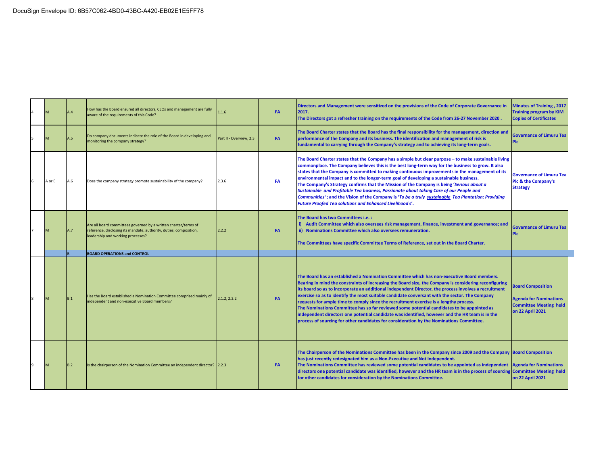|   |        | A.4 | How has the Board ensured all directors, CEOs and management are fully<br>aware of the requirements of this Code?                                                          | 1.1.6                   | <b>FA</b> | Directors and Management were sensitized on the provisions of the Code of Corporate Governance in<br>2017.<br>The Directors got a refresher training on the requirements of the Code from 26-27 November 2020.                                                                                                                                                                                                                                                                                                                                                                                                                                                                                                                                                                                         | <b>Minutes of Training, 2017</b><br><b>Training program by KIM</b><br><b>Copies of Certificates</b>                   |
|---|--------|-----|----------------------------------------------------------------------------------------------------------------------------------------------------------------------------|-------------------------|-----------|--------------------------------------------------------------------------------------------------------------------------------------------------------------------------------------------------------------------------------------------------------------------------------------------------------------------------------------------------------------------------------------------------------------------------------------------------------------------------------------------------------------------------------------------------------------------------------------------------------------------------------------------------------------------------------------------------------------------------------------------------------------------------------------------------------|-----------------------------------------------------------------------------------------------------------------------|
|   |        | 4.5 | Do company documents indicate the role of the Board in developing and<br>monitoring the company strategy?                                                                  | Part II - Overview, 2.3 | <b>FA</b> | The Board Charter states that the Board has the final responsibility for the management, direction and<br>performance of the Company and its business. The identification and management of risk is<br>fundamental to carrying through the Company's strategy and to achieving its long-term goals.                                                                                                                                                                                                                                                                                                                                                                                                                                                                                                    | <b>Governance of Limuru Tea</b><br><b>PIc</b>                                                                         |
|   | A or E | A.6 | Does the company strategy promote sustainability of the company?                                                                                                           | 2.3.6                   | FA        | The Board Charter states that the Company has a simple but clear purpose - to make sustainable living<br>commonplace. The Company believes this is the best long-term way for the business to grow. It also<br>states that the Company is committed to making continuous improvements in the management of its<br>environmental impact and to the longer-term goal of developing a sustainable business.<br>The Company's Strategy confirms that the Mission of the Company is being 'Serious about a<br>Sustainable and Profitable Tea business, Passionate about taking Care of our People and<br>Communities'; and the Vision of the Company is 'To be a truly sustainable Tea Plantation; Providing<br><b>Future Proofed Tea solutions and Enhanced Livelihoods'.</b>                              | <b>Governance of Limuru Tea</b><br>Plc & the Company's<br><b>Strategy</b>                                             |
|   |        | A.7 | Are all board committees governed by a written charter/terms of<br>reference, disclosing its mandate, authority, duties, composition,<br>leadership and working processes? | 2.2.2                   | <b>FA</b> | The Board has two Committees i.e.:<br>i) Audit Committee which also oversees risk management, finance, investment and governance; and<br>ii) Nominations Committee which also oversees remuneration.<br>The Committees have specific Committee Terms of Reference, set out in the Board Charter.                                                                                                                                                                                                                                                                                                                                                                                                                                                                                                       | <b>Governance of Limuru Tea</b><br><b>PIc</b>                                                                         |
|   |        |     | <b>BOARD OPERATIONS and CONTROL</b>                                                                                                                                        |                         |           |                                                                                                                                                                                                                                                                                                                                                                                                                                                                                                                                                                                                                                                                                                                                                                                                        |                                                                                                                       |
|   |        |     |                                                                                                                                                                            |                         |           |                                                                                                                                                                                                                                                                                                                                                                                                                                                                                                                                                                                                                                                                                                                                                                                                        |                                                                                                                       |
| 8 |        | B.1 | Has the Board established a Nomination Committee comprised mainly of<br>independent and non-executive Board members?                                                       | 2.1.2.2.2.2             | <b>FA</b> | The Board has an established a Nomination Committee which has non-executive Board members.<br>Bearing in mind the constraints of increasing the Board size, the Company is considering reconfiguring<br>its board so as to incorporate an additional independent Director, the process involves a recruitment<br>exercise so as to identify the most suitable candidate conversant with the sector. The Company<br>requests for ample time to comply since the recruitment exercise is a lengthy process.<br>The Nominations Committee has so far reviewed some potential candidates to be appointed as<br>independent directors one potential candidate was identified, however and the HR team is in the<br>process of sourcing for other candidates for consideration by the Nominations Committee. | <b>Board Composition</b><br><b>Agenda for Nominations</b><br><b>Committee Meeting held</b><br><b>on 22 April 2021</b> |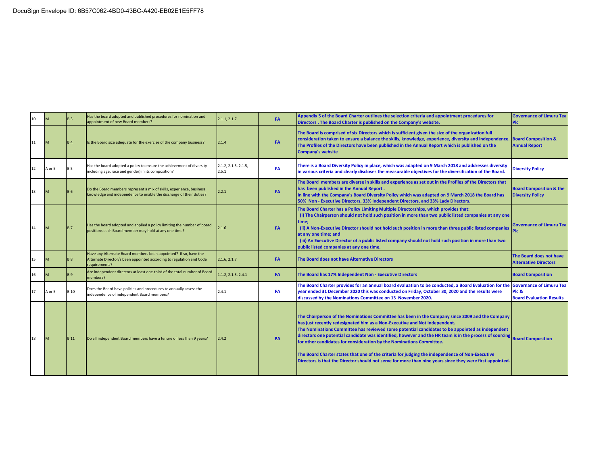|    | M      | B.3         | Has the board adopted and published procedures for nomination and<br>appointment of new Board members?                                                    | 2.1.1, 2.1.7                  | FA        | Appendix 5 of the Board Charter outlines the selection criteria and appointment procedures for<br>Directors . The Board Charter is published on the Company's website.                                                                                                                                                                                                                                                                                                                                                                                                                                                                                                              | <b>Governance of Limuru Tea</b><br><b>PIC</b>                 |
|----|--------|-------------|-----------------------------------------------------------------------------------------------------------------------------------------------------------|-------------------------------|-----------|-------------------------------------------------------------------------------------------------------------------------------------------------------------------------------------------------------------------------------------------------------------------------------------------------------------------------------------------------------------------------------------------------------------------------------------------------------------------------------------------------------------------------------------------------------------------------------------------------------------------------------------------------------------------------------------|---------------------------------------------------------------|
| 11 | M      | B.4         | Is the Board size adequate for the exercise of the company business?                                                                                      | 2.1.4                         | <b>FA</b> | The Board is comprised of six Directors which is sufficient given the size of the organization full<br>consideration taken to ensure a balance the skills, knowledge, experience, diversity and independence.<br>The Profiles of the Directors have been published in the Annual Report which is published on the<br><b>Company's website</b>                                                                                                                                                                                                                                                                                                                                       | <b>Board Composition &amp;</b><br><b>Annual Report</b>        |
| 12 | A or E | <b>B.5</b>  | Has the board adopted a policy to ensure the achievement of diversity<br>including age, race and gender) in its composition?                              | 2.1.2, 2.1.3, 2.1.5,<br>2.5.1 | <b>FA</b> | There is a Board Diversity Policy in place, which was adapted on 9 March 2018 and addresses diversity<br>in various criteria and clearly discloses the measurable objectives for the diversification of the Board.                                                                                                                                                                                                                                                                                                                                                                                                                                                                  | <b>Diversity Policy</b>                                       |
|    |        | B.6         | Do the Board members represent a mix of skills, experience, business<br>knowledge and independence to enable the discharge of their duties?               | 2.2.1                         | <b>FA</b> | The Board members are diverse in skills and experience as set out in the Profiles of the Directors that<br>has been published in the Annual Report.<br>In line with the Company's Board Diversity Policy which was adapted on 9 March 2018 the Board has<br>50% Non - Executive Directors, 33% Independent Directors, and 33% Lady Directors.                                                                                                                                                                                                                                                                                                                                       | <b>Board Composition &amp; the</b><br><b>Diversity Policy</b> |
|    | M      | <b>B.7</b>  | Has the board adopted and applied a policy limiting the number of board<br>positions each Board member may hold at any one time?                          | 2.1.6                         | <b>FA</b> | The Board Charter has a Policy Limiting Multiple Directorships, which provides that:<br>(i) The Chairperson should not hold such position in more than two public listed companies at any one<br>time:<br>(ii) A Non-Executive Director should not hold such position in more than three public listed companies<br>at any one time; and<br>(iii) An Executive Director of a public listed company should not hold such position in more than two<br>public listed companies at any one time.                                                                                                                                                                                       | <b>Governance of Limuru Tea</b>                               |
| 15 |        | <b>B.8</b>  | Have any Alternate Board members been appointed? If so, have the<br>Alternate Director/s been appointed according to regulation and Code<br>requirements? | 2.1.6, 2.1.7                  | <b>FA</b> | The Board does not have Alternative Directors                                                                                                                                                                                                                                                                                                                                                                                                                                                                                                                                                                                                                                       | The Board does not have<br><b>Alternative Directors</b>       |
|    | M      | <b>B.9</b>  | Are independent directors at least one-third of the total number of Board<br>members?                                                                     | 1.1.2, 2.1.3, 2.4.1           | <b>FA</b> | The Board has 17% Independent Non - Executive Directors                                                                                                                                                                                                                                                                                                                                                                                                                                                                                                                                                                                                                             | <b>Board Composition</b>                                      |
| 17 | A or E | B.10        | Does the Board have policies and procedures to annually assess the<br>independence of independent Board members?                                          | 2.4.1                         | FA        | The Board Charter provides for an annual board evaluation to be conducted, a Board Evaluation for the Governance of Limuru Tea<br>year ended 31 December 2020 this was conducted on Friday, October 30, 2020 and the results were<br>discussed by the Nominations Committee on 13 November 2020.                                                                                                                                                                                                                                                                                                                                                                                    | Plc &<br><b>Board Evaluation Results</b>                      |
| 18 | M      | <b>B.11</b> | Do all independent Board members have a tenure of less than 9 years?                                                                                      | 2.4.2                         | PA        | The Chairperson of the Nominations Committee has been in the Company since 2009 and the Company<br>has just recently redesignated him as a Non-Executive and Not Independent.<br>The Nominations Committee has reviewed some potential candidates to be appointed as independent<br>directors one potential candidate was identified, however and the HR team is in the process of sourcing<br>for other candidates for consideration by the Nominations Committee.<br>The Board Charter states that one of the criteria for judging the independence of Non-Executive<br>Directors is that the Director should not serve for more than nine years since they were first appointed. | <b>Board Composition</b>                                      |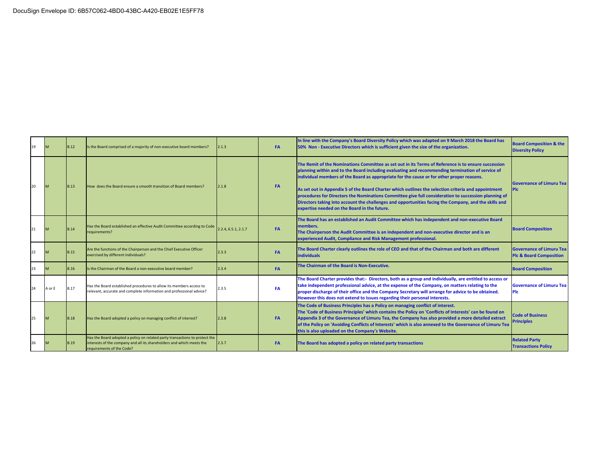| 19 | M      | <b>B.12</b> | Is the Board comprised of a majority of non-executive board members?                                                                                                              | 2.1.3               | <b>FA</b> | In line with the Company's Board Diversity Policy which was adapted on 9 March 2018 the Board has<br>50% Non - Executive Directors which is sufficient given the size of the organization.                                                                                                                                                                                                                                                                                                                                                                                                                                                                                   | <b>Board Composition &amp; the</b><br><b>Diversity Policy</b>         |
|----|--------|-------------|-----------------------------------------------------------------------------------------------------------------------------------------------------------------------------------|---------------------|-----------|------------------------------------------------------------------------------------------------------------------------------------------------------------------------------------------------------------------------------------------------------------------------------------------------------------------------------------------------------------------------------------------------------------------------------------------------------------------------------------------------------------------------------------------------------------------------------------------------------------------------------------------------------------------------------|-----------------------------------------------------------------------|
| 20 | M      | <b>B.13</b> | How does the Board ensure a smooth transition of Board members?                                                                                                                   | 2.1.8               | <b>FA</b> | The Remit of the Nominations Committee as set out in its Terms of Reference is to ensure succession<br>planning within and to the Board including evaluating and recommending termination of service of<br>individual members of the Board as appropriate for the cause or for other proper reasons.<br>As set out in Appendix 5 of the Board Charter which outlines the selection criteria and appointment<br>procedures for Directors the Nominations Committee give full consideration to succession planning of<br>Directors taking into account the challenges and opportunities facing the Company, and the skills and<br>expertise needed on the Board in the future. | <b>Governance of Limuru Tea</b><br><b>PIC</b>                         |
| 21 | M      | <b>B.14</b> | Has the Board established an effective Audit Committee according to Code<br>requirements?                                                                                         | 2.2.4, 6.5.1, 2.1.7 | <b>FA</b> | The Board has an established an Audit Committee which has independent and non-executive Board<br>members.<br>The Chairperson the Audit Committee is an independent and non-executive director and is an<br>experienced Audit, Compliance and Risk Management professional.                                                                                                                                                                                                                                                                                                                                                                                                   | <b>Board Composition</b>                                              |
| 22 | M      | <b>B.15</b> | Are the functions of the Chairperson and the Chief Executive Officer<br>exercised by different individuals?                                                                       | 2.3.3               | <b>FA</b> | The Board Charter clearly outlines the role of CEO and that of the Chairman and both are different<br><b>individuals</b>                                                                                                                                                                                                                                                                                                                                                                                                                                                                                                                                                     | <b>Governance of Limuru Tea</b><br><b>Plc &amp; Board Composition</b> |
| 23 | M      | <b>B.16</b> | Is the Chairman of the Board a non-executive board member?                                                                                                                        | 2.3.4               | <b>FA</b> | The Chairman of the Board is Non-Executive.                                                                                                                                                                                                                                                                                                                                                                                                                                                                                                                                                                                                                                  | <b>Board Composition</b>                                              |
|    | A or E | <b>B.17</b> | Has the Board established procedures to allow its members access to<br>relevant, accurate and complete information and professional advice?                                       | 2.3.5               | FA        | The Board Charter provides that:- Directors, both as a group and individually, are entitled to access or<br>take independent professional advice, at the expense of the Company, on matters relating to the<br>proper discharge of their office and the Company Secretary will arrange for advice to be obtained.<br>However this does not extend to issues regarding their personal interests.                                                                                                                                                                                                                                                                              | <b>Governance of Limuru Tea</b><br><b>Plc</b>                         |
|    |        | <b>B.18</b> | Has the Board adopted a policy on managing conflict of interest?                                                                                                                  | 2.3.8               | <b>FA</b> | The Code of Business Principles has a Policy on managing conflict of interest.<br>The 'Code of Business Principles' which contains the Policy on 'Conflicts of Interests' can be found on<br>Appendix 3 of the Governance of Limuru Tea, the Company has also provided a more detailed extract<br>of the Policy on 'Avoiding Conflicts of Interests' which is also annexed to the Governance of Limuru Tea<br>this is also uploaded on the Company's Website.                                                                                                                                                                                                                | <b>Code of Business</b><br><b>Principles</b>                          |
| 26 |        | <b>B.19</b> | Has the Board adopted a policy on related party transactions to protect the<br>interests of the company and all its shareholders and which meets the<br>requirements of the Code? | 2.3.7               | FA        | The Board has adopted a policy on related party transactions                                                                                                                                                                                                                                                                                                                                                                                                                                                                                                                                                                                                                 | <b>Related Party</b><br><b>Transactions Policy</b>                    |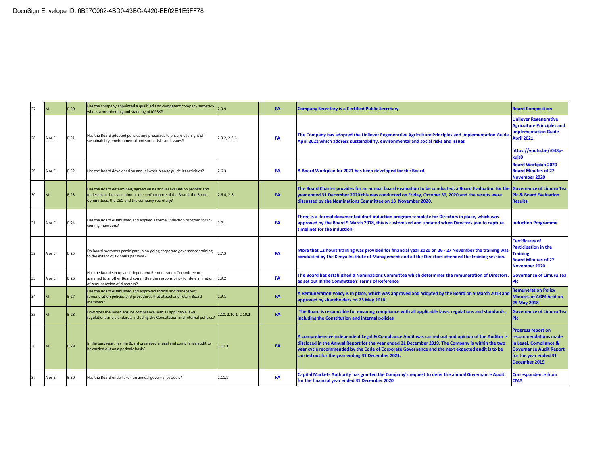|    |        | <b>B.20</b> | Has the company appointed a qualified and competent company secretary<br>who is a member in good standing of ICPSK?                                                                             | 2.3.9               | <b>FA</b> | <b>Company Secretary is a Certified Public Secretary</b>                                                                                                                                                                                                                                                                                                        | <b>Board Composition</b>                                                                                                                                         |
|----|--------|-------------|-------------------------------------------------------------------------------------------------------------------------------------------------------------------------------------------------|---------------------|-----------|-----------------------------------------------------------------------------------------------------------------------------------------------------------------------------------------------------------------------------------------------------------------------------------------------------------------------------------------------------------------|------------------------------------------------------------------------------------------------------------------------------------------------------------------|
| 28 | A or E | <b>B.21</b> | Has the Board adopted policies and processes to ensure oversight of<br>sustainability, environmental and social risks and issues?                                                               | 2.3.2, 2.3.6        | FA        | The Company has adopted the Unilever Regenerative Agriculture Principles and Implementation Guide<br>April 2021 which address sustainability, environmental and social risks and issues                                                                                                                                                                         | <b>Unilever Regenerative</b><br><b>Agriculture Principles and</b><br><b>Implementation Guide -</b><br>April 2021<br>https://youtu.be/r048p-<br>xuit <sub>0</sub> |
| 29 | A or E | <b>B.22</b> | Has the Board developed an annual work-plan to guide its activities?                                                                                                                            | 2.6.3               | FA        | A Board Workplan for 2021 has been developed for the Board                                                                                                                                                                                                                                                                                                      | <b>Board Workplan 2020</b><br><b>Board Minutes of 27</b><br>November 2020                                                                                        |
| 30 |        | <b>B.23</b> | Has the Board determined, agreed on its annual evaluation process and<br>undertaken the evaluation or the performance of the Board, the Board<br>Committees, the CEO and the company secretary? | 2.6.4, 2.8          | <b>FA</b> | The Board Charter provides for an annual board evaluation to be conducted, a Board Evaluation for the Governance of Limuru Tea<br>year ended 31 December 2020 this was conducted on Friday, October 30, 2020 and the results were<br>discussed by the Nominations Committee on 13 November 2020.                                                                | <b>Plc &amp; Board Evaluation</b><br><b>Results.</b>                                                                                                             |
| 31 | A or E | <b>B.24</b> | Has the Board established and applied a formal induction program for in-<br>coming members?                                                                                                     | 2.7.1               | FA        | There is a formal documented draft induction program template for Directors in place, which was<br>approved by the Board 9 March 2018, this is customized and updated when Directors join to capture<br>timelines for the induction.                                                                                                                            | <b>Induction Programme</b>                                                                                                                                       |
| 32 | A or E | <b>B.25</b> | Do Board members participate in on-going corporate governance training<br>to the extent of 12 hours per year?                                                                                   | 2.7.3               | FA        | More that 12 hours training was provided for financial year 2020 on 26 - 27 November the training was<br>conducted by the Kenya Institute of Management and all the Directors attended the training session.                                                                                                                                                    | <b>Certificates of</b><br><b>Participation in the</b><br><b>Training</b><br><b>Board Minutes of 27</b><br>November 2020                                          |
| 33 | A or E | <b>B.26</b> | Has the Board set up an independent Remuneration Committee or<br>assigned to another Board committee the responsibility for determination<br>of remuneration of directors?                      | 2.9.2               | FA        | The Board has established a Nominations Committee which determines the remuneration of Directors,<br>as set out in the Committee's Terms of Reference                                                                                                                                                                                                           | <b>Governance of Limuru Tea</b><br><b>Plc</b>                                                                                                                    |
| 34 |        | <b>B.27</b> | Has the Board established and approved formal and transparent<br>remuneration policies and procedures that attract and retain Board<br>members?                                                 | 2.9.1               | <b>FA</b> | A Remuneration Policy is in place, which was approved and adopted by the Board on 9 March 2018 an<br>approved by shareholders on 25 May 2018.                                                                                                                                                                                                                   | <b>Remuneration Policy</b><br><b>Minutes of AGM held on</b><br>25 May 2018                                                                                       |
| 35 |        | <b>B.28</b> | How does the Board ensure compliance with all applicable laws,<br>regulations and standards, including the Constitution and internal policies?                                                  | .10, 2.10.1, 2.10.2 | <b>FA</b> | The Board is responsible for ensuring compliance with all applicable laws, regulations and standards,<br>including the Constitution and internal policies                                                                                                                                                                                                       | <b>Governance of Limuru Tea</b><br><b>PIc</b>                                                                                                                    |
| 36 |        | <b>B.29</b> | In the past year, has the Board organized a legal and compliance audit to<br>be carried out on a periodic basis?                                                                                | 2.10.3              | FA        | A comprehensive independent Legal & Compliance Audit was carried out and opinion of the Auditor is<br>disclosed in the Annual Report for the year ended 31 December 2019. The Company is within the two<br>year cycle recommended by the Code of Corporate Governance and the next expected audit is to be<br>carried out for the year ending 31 December 2021. | <b>Progress report on</b><br>recommendations made<br>in Legal, Compliance &<br><b>Governance Audit Report</b><br>for the year ended 31<br>December 2019          |
|    | A or E | <b>B.30</b> | Has the Board undertaken an annual governance audit?                                                                                                                                            | 2.11.1              | <b>FA</b> | Capital Markets Authority has granted the Company's request to defer the annual Governance Audit<br>for the financial year ended 31 December 2020                                                                                                                                                                                                               | <b>Correspondence from</b><br><b>CMA</b>                                                                                                                         |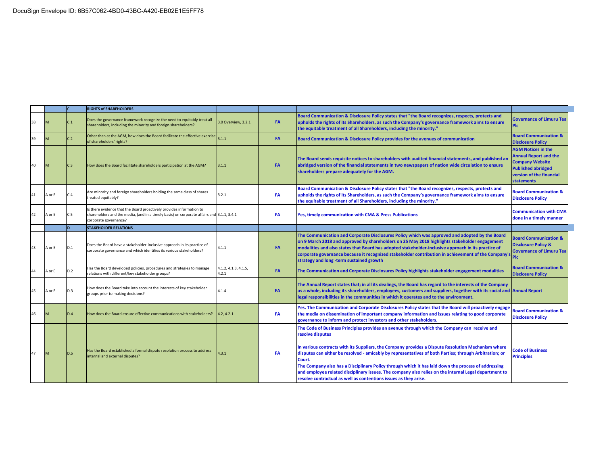|    |        |                        | <b>RIGHTS of SHAREHOLDERS</b>                                                                                                                                                              |                               |           |                                                                                                                                                                                                                                                                                                                                                                                                                                                                                                                                                                                                                                |                                                                                                                                                                   |
|----|--------|------------------------|--------------------------------------------------------------------------------------------------------------------------------------------------------------------------------------------|-------------------------------|-----------|--------------------------------------------------------------------------------------------------------------------------------------------------------------------------------------------------------------------------------------------------------------------------------------------------------------------------------------------------------------------------------------------------------------------------------------------------------------------------------------------------------------------------------------------------------------------------------------------------------------------------------|-------------------------------------------------------------------------------------------------------------------------------------------------------------------|
| 38 |        | $\mathord{\text{C}}.1$ | Does the governance framework recognize the need to equitably treat all<br>shareholders, including the minority and foreign shareholders?                                                  | 3.0 Overview, 3.2.1           | FA        | Board Communication & Disclosure Policy states that "the Board recognizes, respects, protects and<br>upholds the rights of its Shareholders, as such the Company's governance framework aims to ensure<br>the equitable treatment of all Shareholders, including the minority."                                                                                                                                                                                                                                                                                                                                                | <b>Governance of Limuru Tea</b><br><b>Plc</b>                                                                                                                     |
| 39 | M      | C.2                    | Other than at the AGM, how does the Board facilitate the effective exercise<br>of shareholders' rights?                                                                                    | 3.1.1                         | FA        | Board Communication & Disclosure Policy provides for the avenues of communication                                                                                                                                                                                                                                                                                                                                                                                                                                                                                                                                              | <b>Board Communication &amp;</b><br><b>Disclosure Policy</b>                                                                                                      |
| 40 | M      | C.3                    | How does the Board facilitate shareholders participation at the AGM?                                                                                                                       | 3.1.1                         | <b>FA</b> | The Board sends requisite notices to shareholders with audited financial statements, and published an<br>abridged version of the financial statements in two newspapers of nation wide circulation to ensure<br>shareholders prepare adequately for the AGM.                                                                                                                                                                                                                                                                                                                                                                   | <b>AGM Notices in the</b><br><b>Annual Report and the</b><br><b>Company Website</b><br><b>Published abridged</b><br>version of the financial<br><b>statements</b> |
| 41 | A or E | C.4                    | Are minority and foreign shareholders holding the same class of shares<br>treated equitably?                                                                                               | 3.2.1                         | <b>FA</b> | Board Communication & Disclosure Policy states that "the Board recognizes, respects, protects and<br>upholds the rights of its Shareholders, as such the Company's governance framework aims to ensure<br>the equitable treatment of all Shareholders, including the minority."                                                                                                                                                                                                                                                                                                                                                | <b>Board Communication &amp;</b><br><b>Disclosure Policy</b>                                                                                                      |
| 42 | A or E | C.5                    | Is there evidence that the Board proactively provides information to<br>shareholders and the media, (and in a timely basis) on corporate affairs and 3.1.1, 3.4.1<br>corporate governance? |                               | FA        | Yes, timely communication with CMA & Press Publications                                                                                                                                                                                                                                                                                                                                                                                                                                                                                                                                                                        | <b>Communication with CMA</b><br>done in a timely manner                                                                                                          |
|    |        |                        | <b>STAKEHOLDER RELATIONS</b>                                                                                                                                                               |                               |           |                                                                                                                                                                                                                                                                                                                                                                                                                                                                                                                                                                                                                                |                                                                                                                                                                   |
| 43 | A or E | D.1                    | Does the Board have a stakeholder-inclusive approach in its practice of<br>corporate governance and which identifies its various stakeholders?                                             | 4.1.1                         | FA        | The Communication and Corporate Disclosures Policy which was approved and adopted by the Board<br>on 9 March 2018 and approved by shareholders on 25 May 2018 highlights stakeholder engagement<br>modalities and also states that Board has adopted stakeholder-inclusive approach in its practice of<br>corporate governance because it recognized stakeholder contribution in achievement of the Company'<br>strategy and long -term sustained growth                                                                                                                                                                       | <b>Board Communication &amp;</b><br><b>Disclosure Policy &amp;</b><br><b>Governance of Limuru Tea</b><br>Plc.                                                     |
|    | A or E | D.2                    | Has the Board developed policies, procedures and strategies to manage<br>relations with different/key stakeholder groups?                                                                  | 4.1.2, 4.1.3, 4.1.5,<br>4.2.1 | FA        | The Communication and Corporate Disclosures Policy highlights stakeholder engagement modalities                                                                                                                                                                                                                                                                                                                                                                                                                                                                                                                                | <b>Board Communication &amp;</b><br><b>Disclosure Policy</b>                                                                                                      |
| 45 | A or E | D.3                    | How does the Board take into account the interests of key stakeholder<br>groups prior to making decisions?                                                                                 | 4.1.4                         | <b>FA</b> | The Annual Report states that; in all its dealings, the Board has regard to the interests of the Company<br>as a whole, including its shareholders, employees, customers and suppliers, together with its social and Annual Report<br>legal responsibilities in the communities in which it operates and to the environment.                                                                                                                                                                                                                                                                                                   |                                                                                                                                                                   |
| 46 | M      | D.4                    | How does the Board ensure effective communications with stakeholders?                                                                                                                      | .2.4.2.1                      | FA        | Yes. The Communication and Corporate Disclosures Policy states that the Board will proactively engage<br>the media on dissemination of important company information and issues relating to good corporate<br>governance to inform and protect investors and other stakeholders.                                                                                                                                                                                                                                                                                                                                               | <b>Board Communication &amp;</b><br><b>Disclosure Policy</b>                                                                                                      |
| 47 | M      | D.5                    | Has the Board established a formal dispute resolution process to address<br>internal and external disputes?                                                                                | 4.3.1                         | FA        | The Code of Business Principles provides an avenue through which the Company can receive and<br>resolve disputes<br>In various contracts with its Suppliers, the Company provides a Dispute Resolution Mechanism where<br>disputes can either be resolved - amicably by representatives of both Parties; through Arbitration; or<br>Court.<br>The Company also has a Disciplinary Policy through which it has laid down the process of addressing<br>and employee related disciplinary issues. The company also relies on the internal Legal department to<br>resolve contractual as well as contentions issues as they arise. | <b>Code of Business</b><br><b>Principles</b>                                                                                                                      |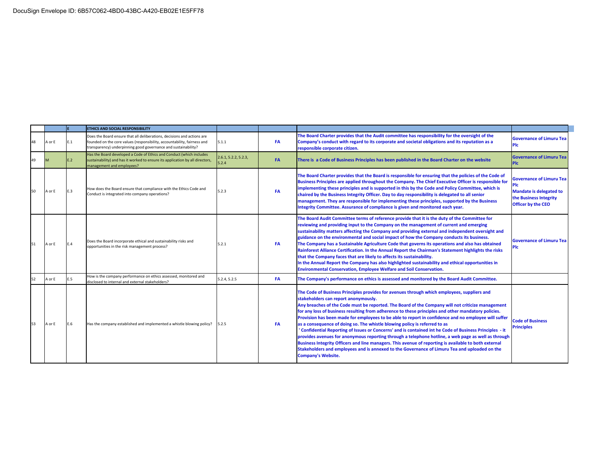|    |        |     | ETHICS AND SOCIAL RESPONSIBILITY                                                                                                                                                                                      |                               |           |                                                                                                                                                                                                                                                                                                                                                                                                                                                                                                                                                                                                                                                                                                                                                                                                                                                                                                                                                                                               |                                                                                                                                 |
|----|--------|-----|-----------------------------------------------------------------------------------------------------------------------------------------------------------------------------------------------------------------------|-------------------------------|-----------|-----------------------------------------------------------------------------------------------------------------------------------------------------------------------------------------------------------------------------------------------------------------------------------------------------------------------------------------------------------------------------------------------------------------------------------------------------------------------------------------------------------------------------------------------------------------------------------------------------------------------------------------------------------------------------------------------------------------------------------------------------------------------------------------------------------------------------------------------------------------------------------------------------------------------------------------------------------------------------------------------|---------------------------------------------------------------------------------------------------------------------------------|
|    | A or E | E.1 | Does the Board ensure that all deliberations, decisions and actions are<br>founded on the core values (responsibility, accountability, fairness and<br>transparency) underpinning good governance and sustainability? | 5.1.1                         | FA        | The Board Charter provides that the Audit committee has responsibility for the oversight of the<br>Company's conduct with regard to its corporate and societal obligations and its reputation as a<br>responsible corporate citizen.                                                                                                                                                                                                                                                                                                                                                                                                                                                                                                                                                                                                                                                                                                                                                          | <b>Governance of Limuru Tea</b><br>Plc                                                                                          |
| 49 |        | E.2 | Has the Board developed a Code of Ethics and Conduct (which includes<br>sustainability) and has it worked to ensure its application by all directors,<br>management and employees?                                    | 2.6.1, 5.2.2, 5.2.3,<br>5.2.4 | <b>FA</b> | There is a Code of Business Principles has been published in the Board Charter on the website                                                                                                                                                                                                                                                                                                                                                                                                                                                                                                                                                                                                                                                                                                                                                                                                                                                                                                 | <b>Governance of Limuru Tea</b><br>Plc                                                                                          |
|    | A or E | E.3 | How does the Board ensure that compliance with the Ethics Code and<br>Conduct is integrated into company operations?                                                                                                  | 5.2.3                         | <b>FA</b> | The Board Charter provides that the Board is responsible for ensuring that the policies of the Code of<br>Business Principles are applied throughout the Company. The Chief Executive Officer is responsible for<br>implementing these principles and is supported in this by the Code and Policy Committee, which is<br>chaired by the Business Integrity Officer. Day to day responsibility is delegated to all senior<br>management. They are responsible for implementing these principles, supported by the Business<br>Integrity Committee. Assurance of compliance is given and monitored each year.                                                                                                                                                                                                                                                                                                                                                                                   | <b>Governance of Limuru Tea</b><br>Plc<br><b>Mandate is delegated to</b><br>the Business Integrity<br><b>Officer by the CEO</b> |
| 51 | A or E | E.4 | Does the Board incorporate ethical and sustainability risks and<br>opportunities in the risk management process?                                                                                                      | 5.2.1                         | <b>FA</b> | The Board Audit Committee terms of reference provide that it is the duty of the Committee for<br>reviewing and providing input to the Company on the management of current and emerging<br>sustainability matters affecting the Company and providing external and independent oversight and<br>guidance on the environmental and social impact of how the Company conducts its business.<br>The Company has a Sustainable Agriculture Code that governs its operations and also has obtained<br>Rainforest Alliance Certification. In the Annual Report the Chairman's Statement highlights the risks<br>that the Company faces that are likely to affects its sustainability.<br>In the Annual Report the Company has also highlighted sustainability and ethical opportunities in<br><b>Environmental Conservation, Employee Welfare and Soil Conservation.</b>                                                                                                                            | <b>Governance of Limuru Tea</b><br>Plc                                                                                          |
| 52 | A or E | E.5 | How is the company performance on ethics assessed, monitored and<br>disclosed to internal and external stakeholders?                                                                                                  | 5.2.4, 5.2.5                  | <b>FA</b> | The Company's performance on ethics is assessed and monitored by the Board Audit Committee.                                                                                                                                                                                                                                                                                                                                                                                                                                                                                                                                                                                                                                                                                                                                                                                                                                                                                                   |                                                                                                                                 |
| 53 | A or E | E.6 | Has the company established and implemented a whistle blowing policy?                                                                                                                                                 | 5.2.5                         | FA        | The Code of Business Principles provides for avenues through which employees, suppliers and<br>stakeholders can report anonymously.<br>Any breaches of the Code must be reported. The Board of the Company will not criticize management<br>for any loss of business resulting from adherence to these principles and other mandatory policies.<br>Provision has been made for employees to be able to report in confidence and no employee will suffer<br>as a consequence of doing so. The whistle blowing policy is referred to as<br>Confidential Reporting of Issues or Concerns' and is contained int he Code of Business Principles - it<br>provides avenues for anonymous reporting through a telephone hotline, a web page as well as through<br>Business Integrity Officers and line managers. This avenue of reporting is available to both external<br>Stakeholders and employees and is annexed to the Governance of Limuru Tea and uploaded on the<br><b>Company's Website.</b> | <b>Code of Business</b><br><b>Principles</b>                                                                                    |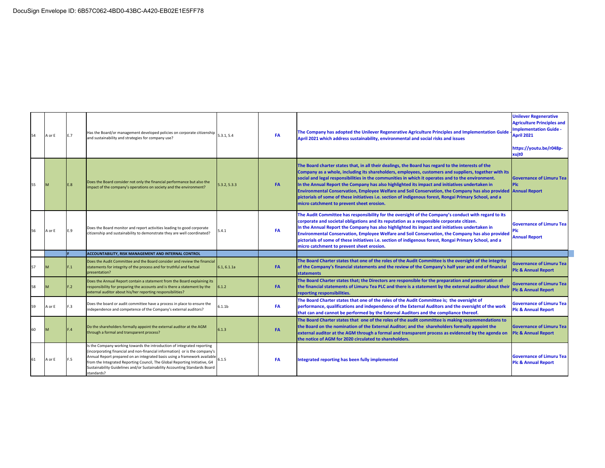|    | A or E | E.7     | Has the Board/or management developed policies on corporate citizenship<br>and sustainability and strategies for company use?                                                                                                       | 5.3.1.5.4          | <b>FA</b> | The Company has adopted the Unilever Regenerative Agriculture Principles and Implementation Guide<br>April 2021 which address sustainability, environmental and social risks and issues                                                                                                                                                                                                                                                                                                                                                                                                                                                                                                       | <b>Unilever Regenerative</b><br><b>Agriculture Principles and</b><br><b>Implementation Guide -</b><br><b>April 2021</b><br>https://youtu.be/r048p-<br>xujt0 |
|----|--------|---------|-------------------------------------------------------------------------------------------------------------------------------------------------------------------------------------------------------------------------------------|--------------------|-----------|-----------------------------------------------------------------------------------------------------------------------------------------------------------------------------------------------------------------------------------------------------------------------------------------------------------------------------------------------------------------------------------------------------------------------------------------------------------------------------------------------------------------------------------------------------------------------------------------------------------------------------------------------------------------------------------------------|-------------------------------------------------------------------------------------------------------------------------------------------------------------|
|    | M      | E.8     | Does the Board consider not only the financial performance but also the<br>impact of the company's operations on society and the environment?                                                                                       | 5.3.2, 5.3.3       | <b>FA</b> | The Board charter states that, in all their dealings, the Board has regard to the interests of the<br>Company as a whole, including its shareholders, employees, customers and suppliers, together with its<br>social and legal responsibilities in the communities in which it operates and to the environment.<br>In the Annual Report the Company has also highlighted its impact and initiatives undertaken in<br>Environmental Conservation, Employee Welfare and Soil Conservation, the Company has also provided Annual Report<br>pictorials of some of these initiatives i.e. section of indigenous forest, Rongai Primary School, and a<br>micro catchment to prevent sheet erosion. | <b>Governance of Limuru Tea</b><br><b>PIC</b>                                                                                                               |
|    | A or E | E.9     | Does the Board monitor and report activities leading to good corporate<br>citizenship and sustainability to demonstrate they are well coordinated?                                                                                  | 5.4.1              | FA        | The Audit Committee has responsibility for the oversight of the Company's conduct with regard to its<br>corporate and societal obligations and its reputation as a responsible corporate citizen.<br>In the Annual Report the Company has also highlighted its impact and initiatives undertaken in<br>Environmental Conservation, Employee Welfare and Soil Conservation, the Company has also provided<br>pictorials of some of these initiatives i.e. section of indigenous forest, Rongai Primary School, and a<br>micro catchment to prevent sheet erosion.                                                                                                                              | <b>Governance of Limuru Teal</b><br><b>Annual Report</b>                                                                                                    |
|    |        |         | ACCOUNTABILITY, RISK MANAGEMENT AND INTERNAL CONTROL                                                                                                                                                                                |                    |           |                                                                                                                                                                                                                                                                                                                                                                                                                                                                                                                                                                                                                                                                                               |                                                                                                                                                             |
| 57 |        | - 1     | Does the Audit Committee and the Board consider and review the financial<br>statements for integrity of the process and for truthful and factual<br>presentation?                                                                   | 6.1, 6.1.1a        | <b>FA</b> | The Board Charter states that one of the roles of the Audit Committee is the oversight of the integrity<br>of the Company's financial statements and the review of the Company's half year and end of financial<br><b>statements</b>                                                                                                                                                                                                                                                                                                                                                                                                                                                          | <b>Governance of Limuru Tea</b><br><b>Plc &amp; Annual Report</b>                                                                                           |
|    |        | $-2$    | Does the Annual Report contain a statement from the Board explaining its<br>responsibility for preparing the accounts and is there a statement by the<br>external auditor about his/her reporting responsibilities?                 | 6.1.2              | <b>FA</b> | The Board Charter states that; the Directors are responsible for the preparation and presentation of<br>the financial statements of Limuru Tea PLC and there is a statement by the external auditor about their<br>reporting responsibilities.                                                                                                                                                                                                                                                                                                                                                                                                                                                | <b>Governance of Limuru Tea</b><br><b>Plc &amp; Annual Report</b>                                                                                           |
|    | A or E | - 3     | Does the board or audit committee have a process in place to ensure the<br>independence and competence of the Company's external auditors?                                                                                          | 5.1.1 <sub>b</sub> | <b>FA</b> | The Board Charter states that one of the roles of the Audit Committee is; the oversight of<br>performance, qualifications and independence of the External Auditors and the oversight of the work<br>that can and cannot be performed by the External Auditors and the compliance thereof.                                                                                                                                                                                                                                                                                                                                                                                                    | <b>Governance of Limuru Teal</b><br><b>Plc &amp; Annual Report</b>                                                                                          |
|    |        | $\cdot$ | Do the shareholders formally appoint the external auditor at the AGM<br>through a formal and transparent process?                                                                                                                   | 6.1.3              | <b>FA</b> | The Board Charter states that one of the roles of the audit committee is making recommendations to<br>the Board on the nomination of the External Auditor; and the shareholders formally appoint the<br>external auditor at the AGM through a formal and transparent process as evidenced by the agenda on<br>the notice of AGM for 2020 circulated to shareholders.                                                                                                                                                                                                                                                                                                                          | <b>Governance of Limuru Tea</b><br><b>Plc &amp; Annual Report</b>                                                                                           |
|    |        |         | Is the Company working towards the introduction of integrated reporting<br>(incorporating financial and non-financial information) or is the company's<br>Annual Report prepared on an integrated basis using a framework available | 6.1.5              | <b>FA</b> | Integrated reporting has been fully implemented                                                                                                                                                                                                                                                                                                                                                                                                                                                                                                                                                                                                                                               | <b>Governance of Limuru Tea</b>                                                                                                                             |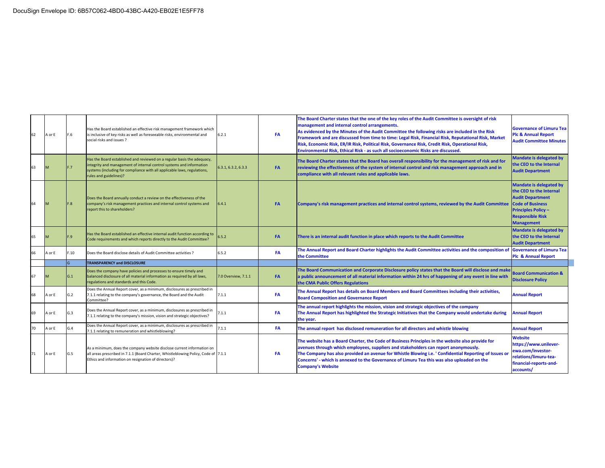| 62 | A or E | F.6 | Has the Board established an effective risk management framework which<br>is inclusive of key risks as well as foreseeable risks, environmental and<br>social risks and issues?                                                                       | 6.2.1               | FA        | The Board Charter states that the one of the key roles of the Audit Committee is oversight of risk<br>management and internal control arrangements.<br>As evidenced by the Minutes of the Audit Committee the following risks are included in the Risk<br>Framework and are discussed from time to time: Legal Risk, Financial Risk, Reputational Risk, Market<br>Risk, Economic Risk, ER/IR Risk, Political Risk, Governance Risk, Credit Risk, Operational Risk,<br>Environmental Risk, Ethical Risk - as such all socioeconomic Risks are discussed. | <b>Governance of Limuru Teal</b><br><b>Plc &amp; Annual Report</b><br><b>Audit Committee Minutes</b>                                                                                          |
|----|--------|-----|-------------------------------------------------------------------------------------------------------------------------------------------------------------------------------------------------------------------------------------------------------|---------------------|-----------|---------------------------------------------------------------------------------------------------------------------------------------------------------------------------------------------------------------------------------------------------------------------------------------------------------------------------------------------------------------------------------------------------------------------------------------------------------------------------------------------------------------------------------------------------------|-----------------------------------------------------------------------------------------------------------------------------------------------------------------------------------------------|
| 63 |        |     | Has the Board established and reviewed on a regular basis the adequacy,<br>integrity and management of internal control systems and information<br>systems (including for compliance with all applicable laws, regulations,<br>rules and guidelines)? | 6.3.1, 6.3.2, 6.3.3 | <b>FA</b> | The Board Charter states that the Board has overall responsibility for the management of risk and for<br>reviewing the effectiveness of the system of internal control and risk management approach and in<br>compliance with all relevant rules and applicable laws.                                                                                                                                                                                                                                                                                   | <b>Mandate is delegated by</b><br>the CEO to the Internal<br><b>Audit Department</b>                                                                                                          |
|    |        | F.8 | Does the Board annually conduct a review on the effectiveness of the<br>company's risk management practices and internal control systems and<br>report this to shareholders?                                                                          | 6.4.1               | <b>FA</b> | Company's risk management practices and internal control systems, reviewed by the Audit Committee                                                                                                                                                                                                                                                                                                                                                                                                                                                       | <b>Mandate is delegated by</b><br>the CEO to the Internal<br><b>Audit Department</b><br><b>Code of Business</b><br><b>Principles Policy -</b><br><b>Responsible Risk</b><br><b>Management</b> |
| 65 |        | 9   | Has the Board established an effective internal audit function according to<br>Code requirements and which reports directly to the Audit Committee?                                                                                                   | 6.5.2               | <b>FA</b> | There is an internal audit function in place which reports to the Audit Committee                                                                                                                                                                                                                                                                                                                                                                                                                                                                       | <b>Mandate is delegated by</b><br>the CEO to the Internal<br><b>Audit Department</b>                                                                                                          |
|    | A or E | .10 | Does the Board disclose details of Audit Committee activities ?                                                                                                                                                                                       | 6.5.2               | <b>FA</b> | The Annual Report and Board Charter highlights the Audit Committee activities and the composition of<br>the Committee                                                                                                                                                                                                                                                                                                                                                                                                                                   | <b>Governance of Limuru Tea</b><br><b>Plc &amp; Annual Report</b>                                                                                                                             |
|    |        |     | <b>TRANSPARENCY and DISCLOSURE</b>                                                                                                                                                                                                                    |                     |           |                                                                                                                                                                                                                                                                                                                                                                                                                                                                                                                                                         |                                                                                                                                                                                               |
| 67 |        | G.1 | Does the company have policies and processes to ensure timely and<br>balanced disclosure of all material information as required by all laws,<br>regulations and standards and this Code.                                                             | 7.0 Overview, 7.1.1 | <b>FA</b> | The Board Communication and Corporate Disclosure policy states that the Board will disclose and make<br>a public announcement of all material information within 24 hrs of happening of any event in line with<br>the CMA Public Offers Regulations                                                                                                                                                                                                                                                                                                     | <b>Board Communication &amp;</b><br><b>Disclosure Policy</b>                                                                                                                                  |
| 68 | A or E | G.2 | Does the Annual Report cover, as a minimum, disclosures as prescribed in<br>7.1.1 relating to the company's governance, the Board and the Audit<br>Committee?                                                                                         | 7.1.1               | <b>FA</b> | The Annual Report has details on Board Members and Board Committees including their activities,<br><b>Board Composition and Governance Report</b>                                                                                                                                                                                                                                                                                                                                                                                                       | <b>Annual Report</b>                                                                                                                                                                          |
| 69 | or E   | G.3 | Does the Annual Report cover, as a minimum, disclosures as prescribed in<br>7.1.1 relating to the company's mission, vision and strategic objectives?                                                                                                 | 7.1.1               | FA        | The annual report highlights the mission, vision and strategic objectives of the company<br>The Annual Report has highlighted the Strategic Initiatives that the Company would undertake during<br>the year.                                                                                                                                                                                                                                                                                                                                            | <b>Annual Report</b>                                                                                                                                                                          |
| 70 | A or E | G.4 | Does the Annual Report cover, as a minimum, disclosures as prescribed in<br>7.1.1 relating to remuneration and whistleblowing?                                                                                                                        | 7.1.1               | <b>FA</b> | The annual report has disclosed remuneration for all directors and whistle blowing                                                                                                                                                                                                                                                                                                                                                                                                                                                                      | <b>Annual Report</b>                                                                                                                                                                          |
| 71 | A or E | G.5 | As a minimum, does the company website disclose current information on<br>all areas prescribed in 7.1.1 (Board Charter, Whistleblowing Policy, Code of 7.1.1<br>Ethics and information on resignation of directors)?                                  |                     | FA        | The website has a Board Charter, the Code of Business Principles in the website also provide for<br>avenues through which employees, suppliers and stakeholders can report anonymously.<br>The Company has also provided an avenue for Whistle Blowing i.e. ' Confidential Reporting of Issues or<br>Concerns' - which is annexed to the Governance of Limuru Tea this was also uploaded on the<br><b>Company's Website</b>                                                                                                                             | <b>Website</b><br>https://www.unilever-<br>ewa.com/investor-<br>relations/limuru-tea-<br>financial-reports-and-<br>accounts/                                                                  |